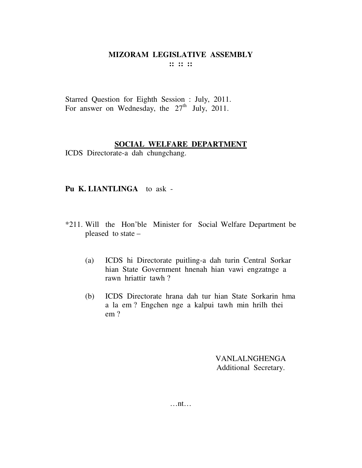**:: :: ::** 

Starred Question for Eighth Session : July, 2011. For answer on Wednesday, the  $27<sup>th</sup>$  July, 2011.

## **SOCIAL WELFARE DEPARTMENT**

ICDS Directorate-a dah chungchang.

## **Pu K. LIANTLINGA** to ask -

- \*211. Will the Hon'ble Minister for Social Welfare Department be pleased to state –
	- (a) ICDS hi Directorate puitling-a dah turin Central Sorkar hian State Government hnenah hian vawi engzatnge a rawn hriattir tawh ?
	- (b) ICDS Directorate hrana dah tur hian State Sorkarin hma a la em ? Engchen nge a kalpui tawh min hrilh thei em ?

VANLALNGHENGA Additional Secretary.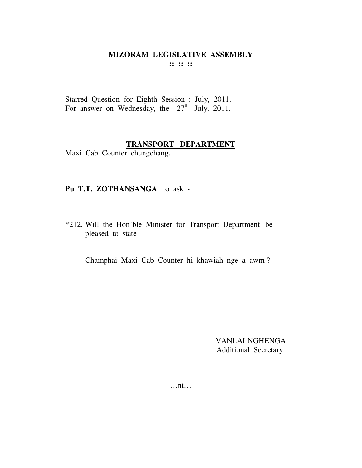**:: :: ::** 

Starred Question for Eighth Session : July, 2011. For answer on Wednesday, the  $27<sup>th</sup>$  July, 2011.

## **TRANSPORT DEPARTMENT**

Maxi Cab Counter chungchang.

## **Pu T.T. ZOTHANSANGA** to ask -

\*212. Will the Hon'ble Minister for Transport Department be pleased to state –

Champhai Maxi Cab Counter hi khawiah nge a awm ?

VANLALNGHENGA Additional Secretary.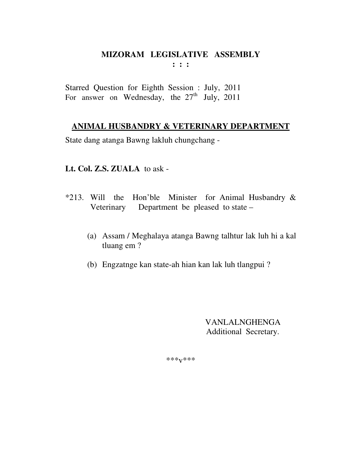Starred Question for Eighth Session : July, 2011 For answer on Wednesday, the  $27<sup>th</sup>$  July, 2011

## **ANIMAL HUSBANDRY & VETERINARY DEPARTMENT**

State dang atanga Bawng lakluh chungchang -

## **Lt. Col. Z.S. ZUALA** to ask -

- \*213. Will the Hon'ble Minister for Animal Husbandry & Veterinary Department be pleased to state –
	- (a) Assam / Meghalaya atanga Bawng talhtur lak luh hi a kal tluang em ?
	- (b) Engzatnge kan state-ah hian kan lak luh tlangpui ?

VANLALNGHENGA Additional Secretary.

\*\*\*v\*\*\*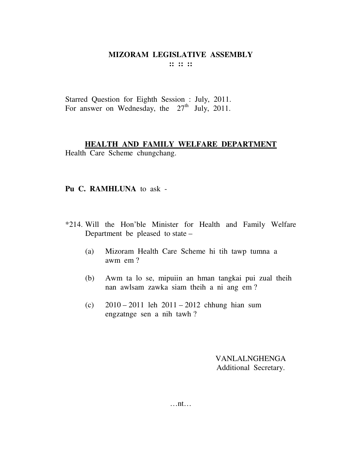**:: :: ::** 

Starred Question for Eighth Session : July, 2011. For answer on Wednesday, the  $27<sup>th</sup>$  July, 2011.

## **HEALTH AND FAMILY WELFARE DEPARTMENT**

Health Care Scheme chungchang.

#### **Pu C. RAMHLUNA** to ask -

- \*214. Will the Hon'ble Minister for Health and Family Welfare Department be pleased to state –
	- (a) Mizoram Health Care Scheme hi tih tawp tumna a awm em ?
	- (b) Awm ta lo se, mipuiin an hman tangkai pui zual theih nan awlsam zawka siam theih a ni ang em ?
	- (c) 2010 2011 leh 2011 2012 chhung hian sum engzatnge sen a nih tawh ?

VANLALNGHENGA Additional Secretary.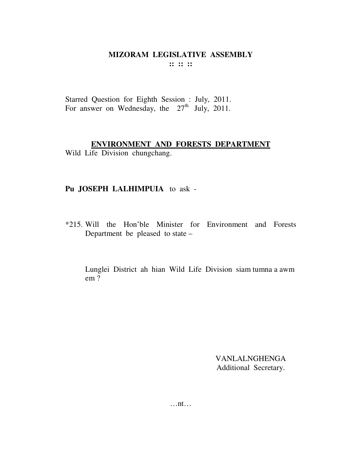$::::::$ 

Starred Question for Eighth Session : July, 2011. For answer on Wednesday, the 27<sup>th</sup> July, 2011.

#### ENVIRONMENT AND FORESTS DEPARTMENT

Wild Life Division chungchang.

## Pu JOSEPH LALHIMPUIA to ask -

\*215. Will the Hon'ble Minister for Environment and Forests Department be pleased to state –

Lunglei District ah hian Wild Life Division siam tumna a awm  $em<sub>2</sub>$ 

> **VANLALNGHENGA** Additional Secretary.

 $\dots$ nt $\dots$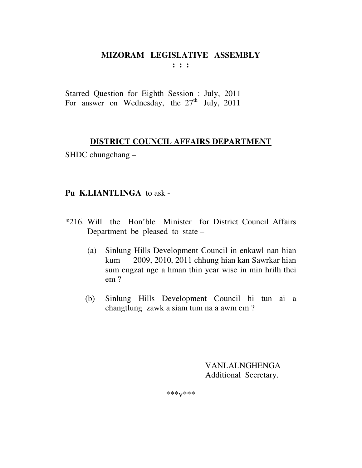**: : :** 

Starred Question for Eighth Session : July, 2011 For answer on Wednesday, the  $27<sup>th</sup>$  July, 2011

## **DISTRICT COUNCIL AFFAIRS DEPARTMENT**

SHDC chungchang –

## **Pu K.LIANTLINGA** to ask -

- \*216. Will the Hon'ble Minister for District Council Affairs Department be pleased to state –
	- (a) Sinlung Hills Development Council in enkawl nan hian kum 2009, 2010, 2011 chhung hian kan Sawrkar hian sum engzat nge a hman thin year wise in min hrilh thei em ?
	- (b) Sinlung Hills Development Council hi tun ai a changtlung zawk a siam tum na a awm em ?

 VANLALNGHENGA Additional Secretary.

\*\*\*v\*\*\*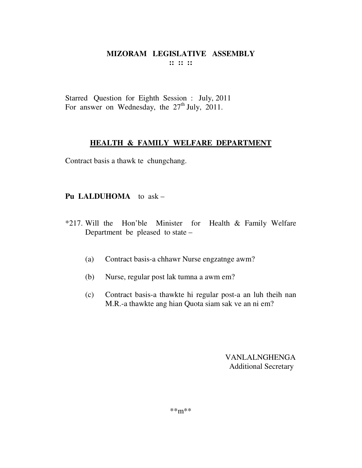Starred Question for Eighth Session : July, 2011 For answer on Wednesday, the  $27<sup>th</sup>$  July, 2011.

### **HEALTH & FAMILY WELFARE DEPARTMENT**

Contract basis a thawk te chungchang.

## **Pu LALDUHOMA** to ask –

- \*217. Will the Hon'ble Minister for Health & Family Welfare Department be pleased to state –
	- (a) Contract basis-a chhawr Nurse engzatnge awm?
	- (b) Nurse, regular post lak tumna a awm em?
	- (c) Contract basis-a thawkte hi regular post-a an luh theih nan M.R.-a thawkte ang hian Quota siam sak ve an ni em?

VANLALNGHENGA Additional Secretary

\*\*m\*\*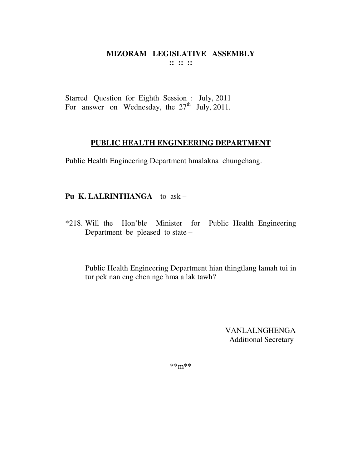Starred Question for Eighth Session : July, 2011 For answer on Wednesday, the  $27<sup>th</sup>$  July, 2011.

### **PUBLIC HEALTH ENGINEERING DEPARTMENT**

Public Health Engineering Department hmalakna chungchang.

## **Pu K. LALRINTHANGA** to ask –

\*218. Will the Hon'ble Minister for Public Health Engineering Department be pleased to state –

 Public Health Engineering Department hian thingtlang lamah tui in tur pek nan eng chen nge hma a lak tawh?

> VANLALNGHENGA Additional Secretary

\*\*m\*\*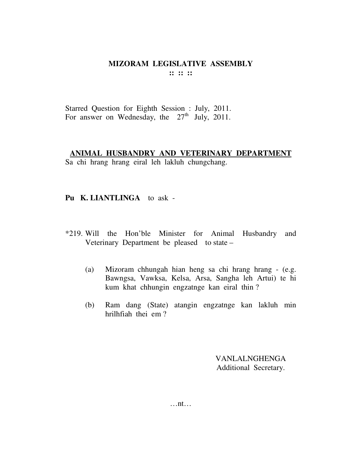Starred Question for Eighth Session : July, 2011. For answer on Wednesday, the  $27<sup>th</sup>$  July, 2011.

## **ANIMAL HUSBANDRY AND VETERINARY DEPARTMENT**

Sa chi hrang hrang eiral leh lakluh chungchang.

## **Pu K. LIANTLINGA** to ask -

- \*219. Will the Hon'ble Minister for Animal Husbandry and Veterinary Department be pleased to state –
	- (a) Mizoram chhungah hian heng sa chi hrang hrang (e.g. Bawngsa, Vawksa, Kelsa, Arsa, Sangha leh Artui) te hi kum khat chhungin engzatnge kan eiral thin ?
	- (b) Ram dang (State) atangin engzatnge kan lakluh min hrilhfiah thei em ?

VANLALNGHENGA Additional Secretary.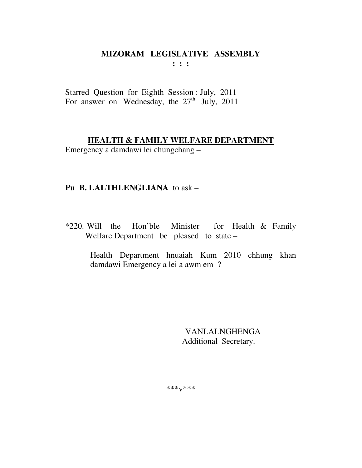$: : :$ 

Starred Question for Eighth Session : July, 2011 For answer on Wednesday, the  $27<sup>th</sup>$  July, 2011

## **HEALTH & FAMILY WELFARE DEPARTMENT**

Emergency a damdawi lei chungchang –

## Pu B. LALTHLENGLIANA to ask -

\*220. Will the Hon'ble Minister for Health & Family Welfare Department be pleased to state -

> Health Department hnuaiah Kum 2010 chhung khan damdawi Emergency a lei a awm em ?

> > **VANLALNGHENGA** Additional Secretary.

 $***V***$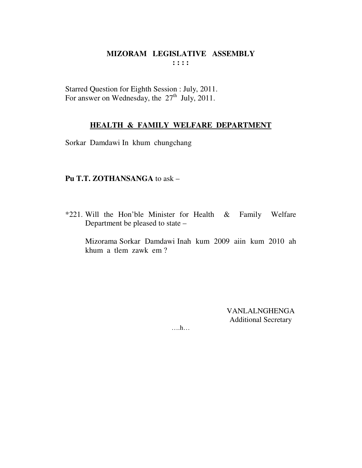Starred Question for Eighth Session : July, 2011.<br>For answer on Wednesday, the  $27<sup>th</sup>$  July, 2011.

## **HEALTH & FAMILY WELFARE DEPARTMENT**

Sorkar Damdawi In khum chungchang

#### Pu T.T. ZOTHANSANGA to ask -

\*221. Will the Hon'ble Minister for Health  $\&$ Family Welfare Department be pleased to state -

Mizorama Sorkar Damdawi Inah kum 2009 aiin kum 2010 ah khum a tlem zawk em?

> **VANLALNGHENGA Additional Secretary**

 $\dots$ ...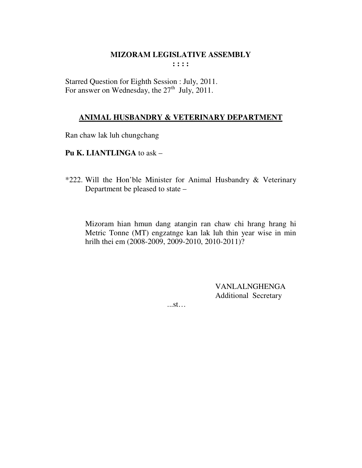**: : : :** 

Starred Question for Eighth Session : July, 2011. For answer on Wednesday, the  $27<sup>th</sup>$  July, 2011.

## **ANIMAL HUSBANDRY & VETERINARY DEPARTMENT**

Ran chaw lak luh chungchang

**Pu K. LIANTLINGA** to ask –

\*222. Will the Hon'ble Minister for Animal Husbandry & Veterinary Department be pleased to state –

Mizoram hian hmun dang atangin ran chaw chi hrang hrang hi Metric Tonne (MT) engzatnge kan lak luh thin year wise in min hrilh thei em (2008-2009, 2009-2010, 2010-2011)?

> VANLALNGHENGA Additional Secretary

...st…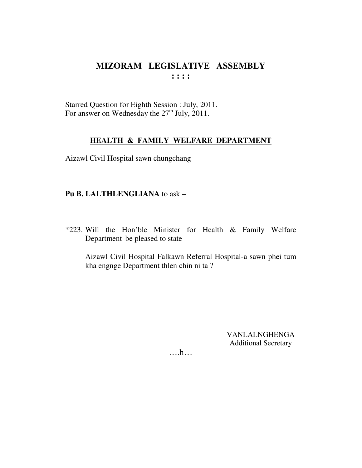Starred Question for Eighth Session : July, 2011. For answer on Wednesday the 27<sup>th</sup> July, 2011.

### **HEALTH & FAMILY WELFARE DEPARTMENT**

Aizawl Civil Hospital sawn chungchang

## Pu B. LALTHLENGLIANA to ask -

\*223. Will the Hon'ble Minister for Health & Family Welfare Department be pleased to state –

Aizawl Civil Hospital Falkawn Referral Hospital-a sawn phei tum kha engnge Department thlen chin ni ta?

> **VANLALNGHENGA Additional Secretary**

 $\dots h\dots$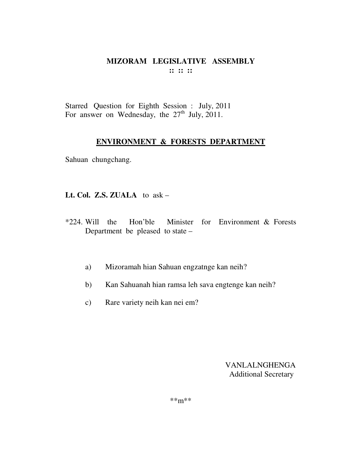Starred Question for Eighth Session : July, 2011 For answer on Wednesday, the  $27<sup>th</sup>$  July, 2011.

### **ENVIRONMENT & FORESTS DEPARTMENT**

Sahuan chungchang.

**Lt. Col. Z.S. ZUALA** to ask –

- \*224. Will the Hon'ble Minister for Environment & Forests Department be pleased to state –
	- a) Mizoramah hian Sahuan engzatnge kan neih?
	- b) Kan Sahuanah hian ramsa leh sava engtenge kan neih?
	- c) Rare variety neih kan nei em?

VANLALNGHENGA Additional Secretary

\*\*m\*\*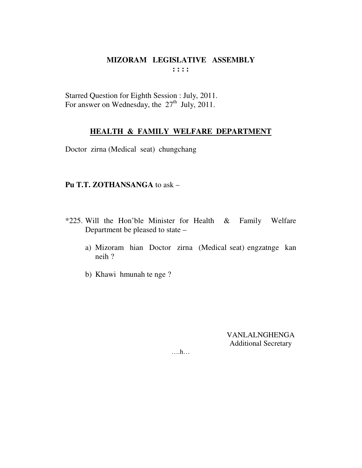Starred Question for Eighth Session : July, 2011. For answer on Wednesday, the  $27<sup>th</sup>$  July, 2011.

## **HEALTH & FAMILY WELFARE DEPARTMENT**

Doctor zirna (Medical seat) chungchang

#### Pu T.T. ZOTHANSANGA to ask -

- \*225. Will the Hon'ble Minister for Health  $\&$ Family Welfare Department be pleased to state
	- a) Mizoram hian Doctor zirna (Medical seat) engzatnge kan neih?
	- b) Khawi hmunah te nge?

**VANLALNGHENGA Additional Secretary** 

 $\dots h\dots$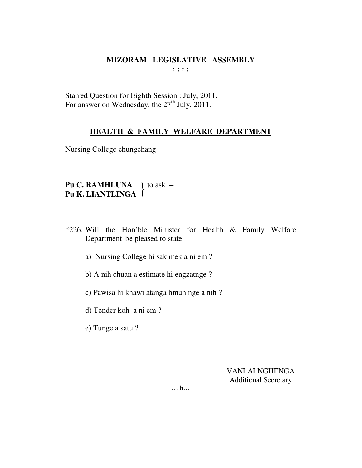Starred Question for Eighth Session : July, 2011. For answer on Wednesday, the 27<sup>th</sup> July, 2011.

## **HEALTH & FAMILY WELFARE DEPARTMENT**

Nursing College chungchang

## **Pu C. RAMHLUNA**  $\parallel$  to ask – **Pu K. LIANTLINGA**

- \*226. Will the Hon'ble Minister for Health & Family Welfare Department be pleased to state –
	- a) Nursing College hi sak mek a ni em ?
	- b) A nih chuan a estimate hi engzatnge ?
	- c) Pawisa hi khawi atanga hmuh nge a nih ?
	- d) Tender koh a ni em ?
	- e) Tunge a satu ?

VANLALNGHENGA Additional Secretary

….h…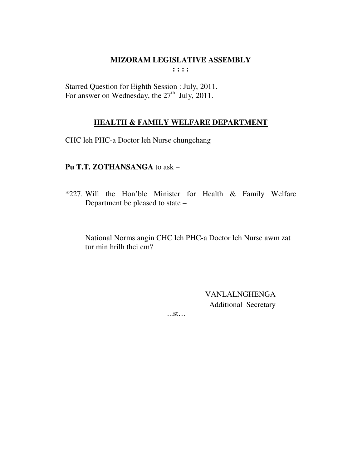Starred Question for Eighth Session : July, 2011. For answer on Wednesday, the  $27<sup>th</sup>$  July, 2011.

## **HEALTH & FAMILY WELFARE DEPARTMENT**

CHC leh PHC-a Doctor leh Nurse chungchang

## Pu T.T. ZOTHANSANGA to ask -

\*227. Will the Hon'ble Minister for Health & Family Welfare Department be pleased to state -

National Norms angin CHC leh PHC-a Doctor leh Nurse awm zat tur min hrilh thei em?

> **VANLALNGHENGA** Additional Secretary

 $...st...$